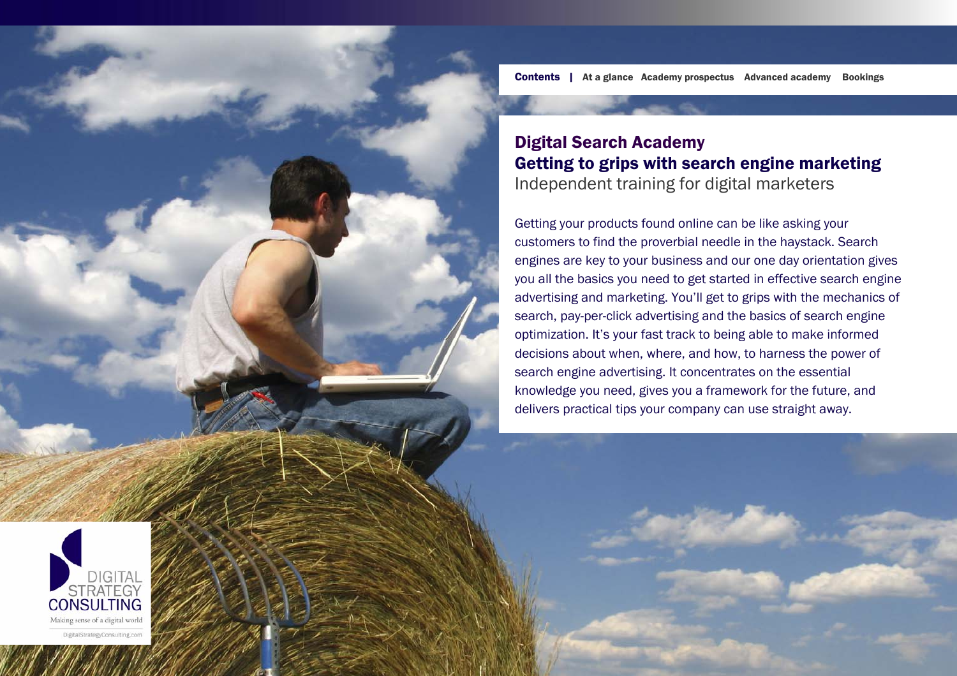Contents | At a glance Academy prospectus Advanced academy Bookings

# Digital Search Academy Getting to grips with search engine marketing Independent training for digital marketers

Getting your products found online can be like asking your customers to find the proverbial needle in the haystack. Search engines are key to your business and our one day orientation gives you all the basics you need to get started in effective search engine advertising and marketing. You'll get to grips with the mechanics of search, pay-per-click advertising and the basics of search engine optimization. It's your fast track to being able to make informed decisions about when, where, and how, to harness the power of search engine advertising. It concentrates on the essential knowledge you need, gives you a framework for the future, and delivers practical tips your company can use straight awa y.

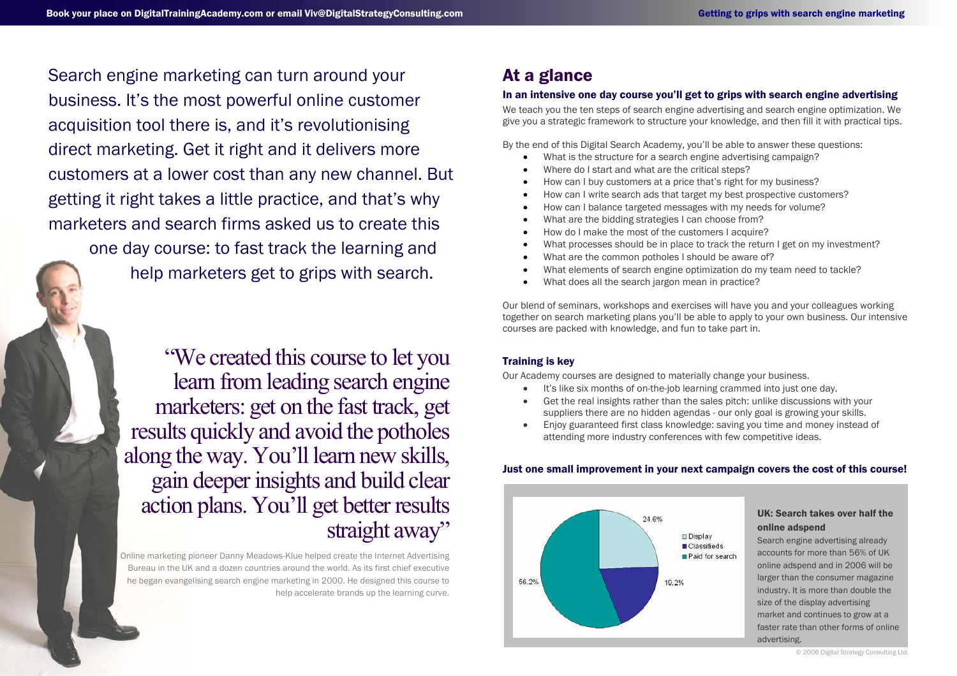Search engine marketing can turn around your business. It's the most powerful online customer acquisition tool there is, and it's revolutionising direct marketing. Get it right and it delivers more customers at a lower cost than any new channel. But getting it right takes a little practice, and that's why marketers and search firms asked us to create this

one day course: to fast track the learning and help marketers get to grips with search.

"We created this course to let you learn from leading search engine marketers: get on the fast track, get results quickly and avoid the potholes along the way. You'll learn new skills, gain deeper insights and build clear action plans. You'll get better results straight away"

Online marketing pioneer Danny Meadows-Klue helped create the Internet Advertising Bureau in the UK and a dozen countries around the world. As its first chief executive he began evangelising search engine marketing in 2000. He designed this course to help accelerate brands up the learning curve.

# At a glance

## In an intensive one day course you'll get to grips with search engine advertising

We teach you the ten steps of search engine advertising and search engine optimization. We give you a strategic framework to structure your knowledge, and then fill it with practical tips.

By the end of this Digital Search Academy, you'll be able to answer these questions:

- •What is the structure for a search engine advertising campaign?
- •Where do I start and what are the critical steps?
- •How can I buy customers at a price that's right for my business?
- •How can I write search ads that target my best prospective customers?
- •How can I balance targeted messages with my needs for volume?
- •What are the bidding strategies I can choose from?
- •How do I make the most of the customers I acquire?
- •What processes should be in place to track the return I get on my investment?
- •What are the common potholes I should be aware of?
- •What elements of search engine optimization do my team need to tackle?
- •What does all the search jargon mean in practice?

Our blend of seminars, workshops and exercises will have you and your colleagues working together on search marketing plans you'll be able to apply to your own business. Our intensive courses are packed with knowledge, and fun to take part in.

# Training is key

Our Academy courses are designed to materially change your business.

- •It's like six months of on-the-job learning crammed into just one day.
- • Get the real insights rather than the sales pitch: unlike discussions with your suppliers there are no hidden agendas - our only goal is growing your skills.
- • Enjoy guaranteed first class knowledge: saving you time and money instead of attending more industry conferences with few competitive ideas.



# Just one small improvement in your next campaign covers the cost of this course!

#### © 2006 Digital Strategy Consulting Ltd.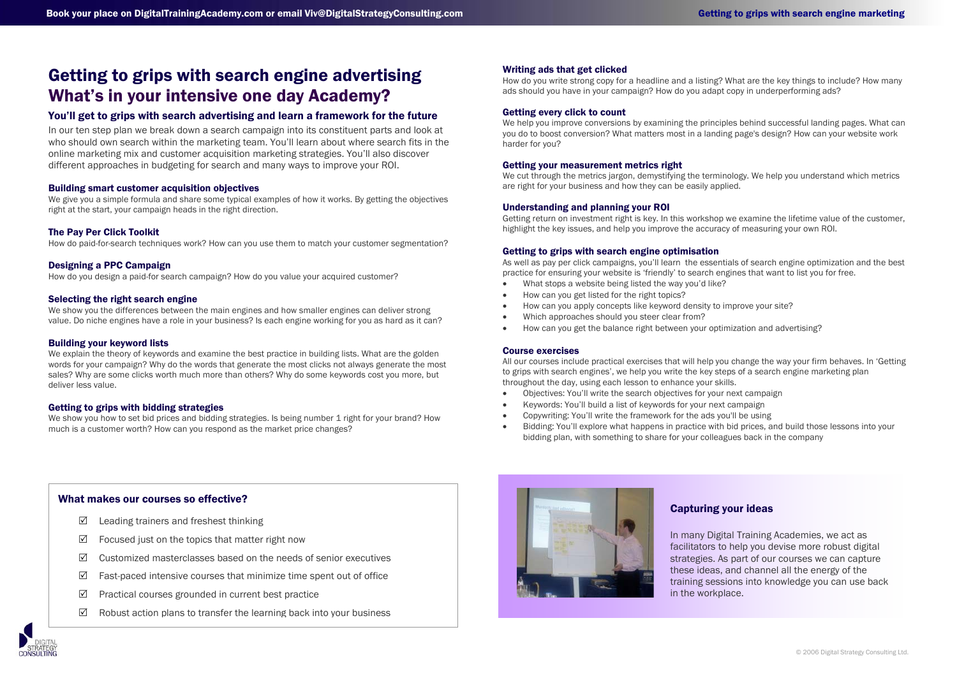# Getting to grips with search engine advertising What's in your intensive one day Academy?

## You'll get to grips with search advertising and learn a framework for the future

In our ten step plan we break down a search campaign into its constituent parts and look at who should own search within the marketing team. You'll learn about where search fits in the online marketing mix and customer acquisition marketing strategies. You'll also discover different approaches in budgeting for search and many ways to improve your ROI.

#### Building smart customer acquisition objectives

We give you a simple formula and share some typical examples of how it works. By getting the objectives right at the start, your campaign heads in the right direction.

#### The Pay Per Click Toolkit

How do paid-for-search techniques work? How can you use them to match your customer segmentation?

#### Designing a PPC Campaign

How do you design a paid-for search campaign? How do you value your acquired customer?

#### Selecting the right search engine

We show you the differences between the main engines and how smaller engines can deliver strong value. Do niche engines have a role in your business? Is each engine working for you as hard as it can?

#### Building your keyword lists

We explain the theory of keywords and examine the best practice in building lists. What are the golden words for your campaign? Why do the words that generate the most clicks not always generate the most sales? Why are some clicks worth much more than others? Why do some keywords cost you more, but deliver less value.

#### Getting to grips with bidding strategies

We show you how to set bid prices and bidding strategies. Is being number 1 right for your brand? How much is a customer worth? How can you respond as the market price changes?

#### Writing ads that get clicked

How do you write strong copy for a headline and a listing? What are the key things to include? How many ads should you have in your campaign? How do you adapt copy in underperforming ads?

#### Getting every click to count

We help you improve conversions by examining the principles behind successful landing pages. What can you do to boost conversion? What matters most in a landing page's design? How can your website work harder for you?

#### Getting your measurement metrics right

We cut through the metrics jargon, demystifying the terminology. We help you understand which metrics are right for your business and how they can be easily applied.

#### Understanding and planning your ROI

Getting return on investment right is key. In this workshop we examine the lifetime value of the customer, highlight the key issues, and help you improve the accuracy of measuring your own ROI.

#### Getting to grips with search engine optimisation

As well as pay per click campaigns, you'll learn the essentials of search engine optimization and the best practice for ensuring your website is 'friendly' to search engines that want to list you for free.

- •What stops a website being listed the way you'd like?
- •How can you get listed for the right topics?
- •How can you apply concepts like keyword density to improve your site?
- •Which approaches should you steer clear from?
- •How can you get the balance right between your optimization and advertising?

#### Course exercises

All our courses include practical exercises that will help you change the way your firm behaves. In 'Getting to grips with search engines', we help you write the key steps of a search engine marketing plan throughout the day, using each lesson to enhance your skills.

- •Objectives: You'll write the search objectives for your next campaign
- •Keywords: You'll build a list of keywords for your next campaign
- •Copywriting: You'll write the framework for the ads you'll be using
- • Bidding: You'll explore what happens in practice with bid prices, and build those lessons into your bidding plan, with something to share for your colleagues back in the company

#### What makes our courses so effective?

- $\triangledown$ Leading trainers and freshest thinking
- $\triangledown$ Focused just on the topics that matter right now
- $\triangledown$ Customized masterclasses based on the needs of senior executives
- $\Delta$ Fast-paced intensive courses that minimize time spent out of office
- $\triangledown$ Practical courses grounded in current best practice
- $\triangledown$ Robust action plans to transfer the learning back into your business



#### Capturing your ideas

In many Digital Training Academies, we act as facilitators to help you devise more robust digital strategies. As part of our courses we can capture these ideas, and channel all the energy of the training sessions into knowledge you can use back in the workplace.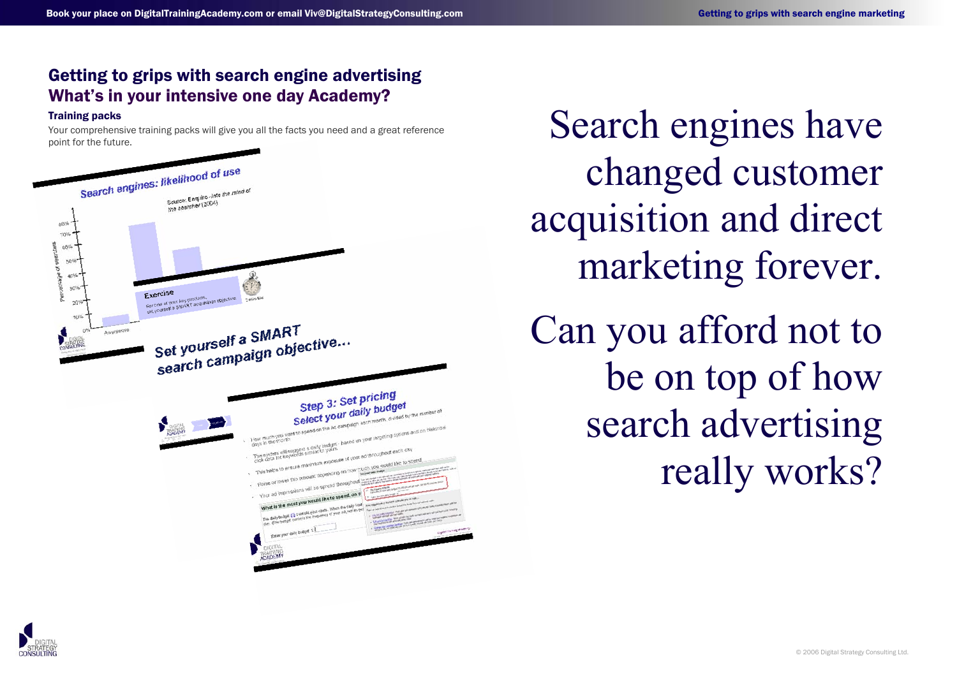# Getting to grips with search engine advertising What's in your intensive one day Academy?

## Training packs

Your comprehensive training packs will give you all the facts you need and a great reference



Training packs<br>Your comprehensive training packs will give you all the facts you need and a great reference<br>point for the future. changed customer acquisition and direct marketing forever. Can you afford not to be on top of how search advertising really works?

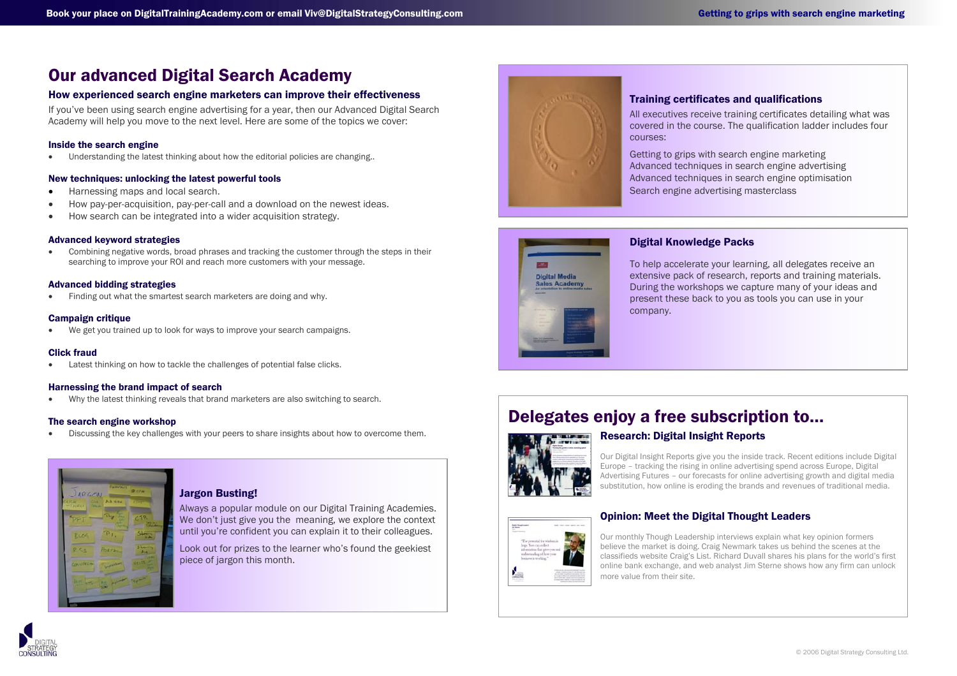# Our advanced Digital Search Academy

## How experienced search engine marketers can improve their effectiveness

If you've been using search engine advertising for a year, then our Advanced Digital Search Academy will help you move to the next level. Here are some of the topics we cover:

#### Inside the search engine

•Understanding the latest thinking about how the editorial policies are changing..

#### New techniques: unlocking the latest powerful tools

- •Harnessing maps and local search.
- •How pay-per-acquisition, pay-per-call and a download on the newest ideas.
- •How search can be integrated into a wider acquisition strategy.

#### Advanced keyword strategies

• Combining negative words, broad phrases and tracking the customer through the steps in their searching to improve your ROI and reach more customers with your message.

## Advanced bidding strategies

•Finding out what the smartest search marketers are doing and why.

## Campaign critique

•We get you trained up to look for ways to improve your search campaigns.

#### Click fraud

•Latest thinking on how to tackle the challenges of potential false clicks.

#### Harnessing the brand impact of search

•Why the latest thinking reveals that brand marketers are also switching to search.

## The search engine workshop

•Discussing the key challenges with your peers to share insights about how to overcome them.



# Jargon Busting!

Always a popular module on our Digital Training Academies. We don't just give you the meaning, we explore the context until you're confident you can explain it to their colleagues.

Look out for prizes to the learner who's found the geekiest piece of jargon this month.



#### Training certificates and qualifications

All executives receive training certificates detailing what was covered in the course. The qualification ladder includes four courses:

Getting to grips with search engine marketing Advanced techniques in search engine advertising Advanced techniques in search engine optimisation Search engine advertising masterclass



## Digital Knowledge Packs

To help accelerate your learning, all delegates receive an extensive pack of research, reports and training materials. During the workshops we capture many of your ideas and present these back to you as tools you can use in your company.

# Delegates enjoy a free subscription to…



# Research: Digital Insight Reports

Our Digital Insight Reports give you the inside track. Recent editions include Digital Europe – tracking the rising in online advertising spend across Europe, Digital Advertising Futures – our forecasts for online advertising growth and digital media substitution, how online is eroding the brands and revenues of traditional media.



#### Opinion: Meet the Digital Thought Leaders

Our monthly Though Leadership interviews explain what key opinion formers believe the market is doing. Craig Newmark takes us behind the scenes at the classifieds website Craig's List. Richard Duvall shares his plans for the world's first online bank exchange, and web analyst Jim Sterne shows how any firm can unlock more value from their site.